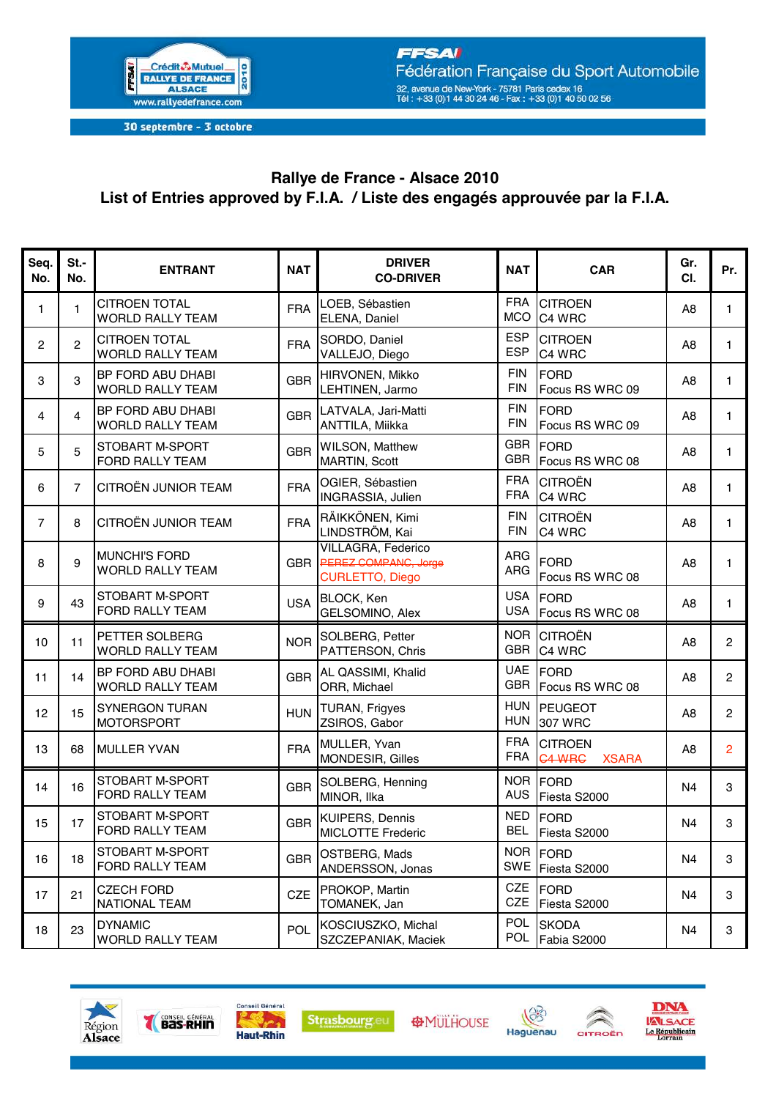

30 septembre - 3 octobre

## Rallye de France - Alsace 2010 List of Entries approved by F.I.A. / Liste des engagés approuvée par la F.I.A.

| Seq.<br>No.    | $St. -$<br>No. | <b>ENTRANT</b>                                  | <b>NAT</b> | <b>DRIVER</b><br><b>CO-DRIVER</b>                                           | <b>NAT</b>               | <b>CAR</b>                                      | Gr.<br>CI.     | Pr.            |
|----------------|----------------|-------------------------------------------------|------------|-----------------------------------------------------------------------------|--------------------------|-------------------------------------------------|----------------|----------------|
| 1              | 1              | <b>CITROEN TOTAL</b><br><b>WORLD RALLY TEAM</b> | <b>FRA</b> | LOEB, Sébastien<br>ELENA, Daniel                                            | <b>FRA</b><br><b>MCO</b> | <b>CITROEN</b><br>C4 WRC                        | A8             | $\mathbf{1}$   |
| $\overline{c}$ | $\overline{c}$ | <b>CITROEN TOTAL</b><br><b>WORLD RALLY TEAM</b> | <b>FRA</b> | SORDO, Daniel<br>VALLEJO, Diego                                             | <b>ESP</b><br><b>ESP</b> | <b>CITROEN</b><br>C4 WRC                        | A8             | $\mathbf{1}$   |
| 3              | 3              | BP FORD ABU DHABI<br>WORLD RALLY TEAM           | <b>GBR</b> | HIRVONEN, Mikko<br>LEHTINEN, Jarmo                                          | <b>FIN</b><br><b>FIN</b> | <b>FORD</b><br>Focus RS WRC 09                  | A <sub>8</sub> | $\mathbf{1}$   |
| 4              | 4              | BP FORD ABU DHABI<br><b>WORLD RALLY TEAM</b>    | <b>GBR</b> | LATVALA, Jari-Matti<br>ANTTILA, Miikka                                      | <b>FIN</b><br><b>FIN</b> | <b>FORD</b><br>Focus RS WRC 09                  | A <sub>8</sub> | 1.             |
| 5              | 5              | STOBART M-SPORT<br>FORD RALLY TEAM              | <b>GBR</b> | WILSON, Matthew<br>MARTIN, Scott                                            | <b>GBR</b><br><b>GBR</b> | FORD<br>Focus RS WRC 08                         | A8             | $\mathbf{1}$   |
| 6              | $\overline{7}$ | CITROËN JUNIOR TEAM                             | <b>FRA</b> | OGIER, Sébastien<br>INGRASSIA, Julien                                       | <b>FRA</b><br><b>FRA</b> | <b>CITROËN</b><br>C4 WRC                        | A <sub>8</sub> | 1.             |
| $\overline{7}$ | 8              | <b>CITROËN JUNIOR TEAM</b>                      | <b>FRA</b> | RÄIKKÖNEN, Kimi<br>LINDSTRÖM, Kai                                           | <b>FIN</b><br><b>FIN</b> | <b>CITROËN</b><br>C4 WRC                        | A <sub>8</sub> | $\mathbf{1}$   |
| 8              | 9              | <b>MUNCHI'S FORD</b><br><b>WORLD RALLY TEAM</b> | <b>GBR</b> | <b>VILLAGRA, Federico</b><br>PEREZ COMPANC, Jorge<br><b>CURLETTO, Diego</b> | ARG<br>ARG               | <b>FORD</b><br>Focus RS WRC 08                  | A8             | $\mathbf{1}$   |
| 9              | 43             | STOBART M-SPORT<br>FORD RALLY TEAM              | <b>USA</b> | <b>BLOCK, Ken</b><br>GELSOMINO, Alex                                        | <b>USA</b><br><b>USA</b> | <b>FORD</b><br>Focus RS WRC 08                  | A <sub>8</sub> | 1.             |
| 10             | 11             | PETTER SOLBERG<br><b>WORLD RALLY TEAM</b>       | <b>NOR</b> | SOLBERG, Petter<br>PATTERSON, Chris                                         | <b>NOR</b><br><b>GBR</b> | <b>CITROËN</b><br>C4 WRC                        | A <sub>8</sub> | $\overline{2}$ |
| 11             | 14             | BP FORD ABU DHABI<br><b>WORLD RALLY TEAM</b>    | <b>GBR</b> | AL QASSIMI, Khalid<br>ORR, Michael                                          | <b>UAE</b>               | FORD<br>GBR Focus RS WRC 08                     | A <sub>8</sub> | $\overline{2}$ |
| 12             | 15             | <b>SYNERGON TURAN</b><br><b>MOTORSPORT</b>      | <b>HUN</b> | <b>TURAN, Frigyes</b><br>ZSIROS, Gabor                                      | <b>HUN</b><br><b>HUN</b> | <b>PEUGEOT</b><br>307 WRC                       | A <sub>8</sub> | $\overline{2}$ |
| 13             | 68             | <b>MULLER YVAN</b>                              | <b>FRA</b> | MULLER, Yvan<br>MONDESIR, Gilles                                            | <b>FRA</b><br><b>FRA</b> | <b>CITROEN</b><br><b>C4 WRC</b><br><b>XSARA</b> | A8             | $\overline{c}$ |
| 14             | 16             | STOBART M-SPORT<br>FORD RALLY TEAM              | <b>GBR</b> | SOLBERG, Henning<br>MINOR, Ilka                                             | <b>AUS</b>               | NOR FORD<br>Fiesta S2000                        | N <sub>4</sub> | 3              |
| 15             | 17             | STOBART M-SPORT<br>FORD RALLY TEAM              | <b>GBR</b> | <b>KUIPERS, Dennis</b><br><b>MICLOTTE Frederic</b>                          | <b>NED</b>               | FORD<br>BEL Fiesta S2000                        | N <sub>4</sub> | 3              |
| 16             | 18             | <b>STOBART M-SPORT</b><br>FORD RALLY TEAM       | <b>GBR</b> | OSTBERG, Mads<br>ANDERSSON, Jonas                                           | SWE                      | NOR FORD<br>Fiesta S2000                        | N <sub>4</sub> | 3              |
| 17             | 21             | <b>CZECH FORD</b><br><b>NATIONAL TEAM</b>       | <b>CZE</b> | PROKOP, Martin<br>TOMANEK, Jan                                              | CZE                      | CZE FORD<br>Fiesta S2000                        | N <sub>4</sub> | 3              |
| 18             | 23             | <b>DYNAMIC</b><br><b>WORLD RALLY TEAM</b>       | POL        | KOSCIUSZKO, Michal<br>SZCZEPANIAK, Maciek                                   | POL<br>POL               | <b>SKODA</b><br>Fabia S2000                     | N <sub>4</sub> | 3              |







**AMULHOUSE** 





DNA LALSACE<br>Le Républicain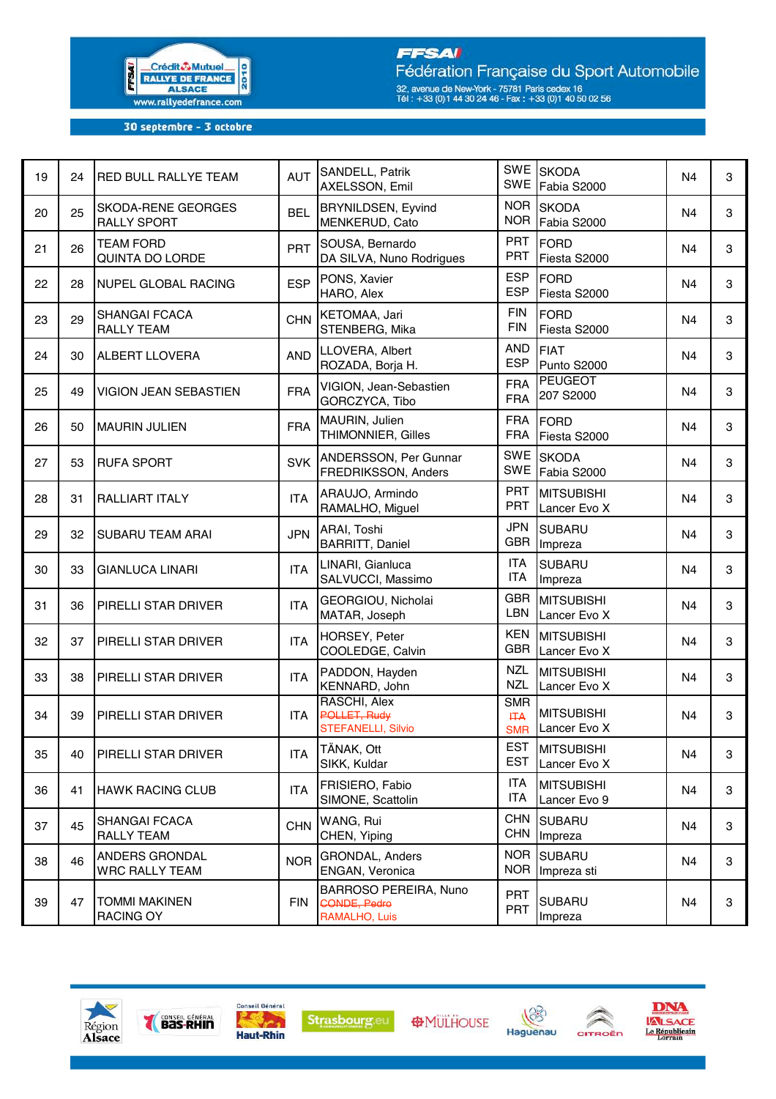

## **FFSAI**

Fédération Française du Sport Automobile 32, avenue de New-York - 75781 Paris cedex 16<br>Tél : +33 (0)1 44 30 24 46 - Fax : +33 (0)1 40 50 02 56

30 septembre - 3 octobre

| 19 | 24 | <b>RED BULL RALLYE TEAM</b>                     | <b>AUT</b> | SANDELL, Patrik<br>AXELSSON, Emil                      | SWE                      | SWE SKODA<br>Fabia S2000              | N4             | 3 |
|----|----|-------------------------------------------------|------------|--------------------------------------------------------|--------------------------|---------------------------------------|----------------|---|
| 20 | 25 | <b>SKODA-RENE GEORGES</b><br><b>RALLY SPORT</b> | <b>BEL</b> | <b>BRYNILDSEN, Eyvind</b><br>MENKERUD, Cato            | <b>NOR</b><br><b>NOR</b> | <b>SKODA</b><br>Fabia S2000           | N <sub>4</sub> | 3 |
| 21 | 26 | <b>TEAM FORD</b><br>QUINTA DO LORDE             | PRT        | SOUSA, Bernardo<br>DA SILVA, Nuno Rodrigues            | <b>PRT</b><br><b>PRT</b> | <b>FORD</b><br>Fiesta S2000           | N <sub>4</sub> | 3 |
| 22 | 28 | NUPEL GLOBAL RACING                             | <b>ESP</b> | PONS, Xavier<br>HARO, Alex                             | <b>ESP</b><br><b>ESP</b> | <b>FORD</b><br>Fiesta S2000           | N <sub>4</sub> | 3 |
| 23 | 29 | <b>SHANGAI FCACA</b><br><b>RALLY TEAM</b>       | <b>CHN</b> | KETOMAA, Jari<br>STENBERG, Mika                        | <b>FIN</b><br><b>FIN</b> | <b>FORD</b><br>Fiesta S2000           | N <sub>4</sub> | 3 |
| 24 | 30 | <b>ALBERT LLOVERA</b>                           | <b>AND</b> | LLOVERA, Albert<br>ROZADA, Borja H.                    | <b>AND</b><br><b>ESP</b> | <b>FIAT</b><br>Punto S2000            | N <sub>4</sub> | 3 |
| 25 | 49 | VIGION JEAN SEBASTIEN                           | <b>FRA</b> | VIGION, Jean-Sebastien<br>GORCZYCA, Tibo               | <b>FRA</b><br><b>FRA</b> | <b>PEUGEOT</b><br>207 S2000           | N <sub>4</sub> | 3 |
| 26 | 50 | <b>MAURIN JULIEN</b>                            | <b>FRA</b> | MAURIN, Julien<br>THIMONNIER, Gilles                   | <b>FRA</b><br><b>FRA</b> | <b>FORD</b><br>Fiesta S2000           | N <sub>4</sub> | 3 |
| 27 | 53 | <b>RUFA SPORT</b>                               | <b>SVK</b> | ANDERSSON, Per Gunnar<br>FREDRIKSSON, Anders           | <b>SWE</b><br><b>SWE</b> | <b>SKODA</b><br>Fabia S2000           | N <sub>4</sub> | 3 |
| 28 | 31 | <b>RALLIART ITALY</b>                           | <b>ITA</b> | ARAUJO, Armindo<br>RAMALHO, Miguel                     | <b>PRT</b><br><b>PRT</b> | <b>MITSUBISHI</b><br>Lancer Evo X     | N <sub>4</sub> | 3 |
| 29 | 32 | <b>SUBARU TEAM ARAI</b>                         | <b>JPN</b> | ARAI, Toshi<br><b>BARRITT, Daniel</b>                  | <b>JPN</b><br><b>GBR</b> | <b>SUBARU</b><br>Impreza              | N <sub>4</sub> | 3 |
| 30 | 33 | <b>GIANLUCA LINARI</b>                          | <b>ITA</b> | LINARI, Gianluca<br>SALVUCCI, Massimo                  | <b>ITA</b><br><b>ITA</b> | <b>SUBARU</b><br>Impreza              | N <sub>4</sub> | 3 |
| 31 | 36 | <b>PIRELLI STAR DRIVER</b>                      | <b>ITA</b> | GEORGIOU, Nicholai<br>MATAR, Joseph                    | <b>GBR</b><br>LBN        | <b>MITSUBISHI</b><br>Lancer Evo X     | N <sub>4</sub> | 3 |
| 32 | 37 | <b>PIRELLI STAR DRIVER</b>                      | <b>ITA</b> | HORSEY, Peter<br>COOLEDGE, Calvin                      | <b>KEN</b><br><b>GBR</b> | <b>MITSUBISHI</b><br>Lancer Evo X     | N <sub>4</sub> | 3 |
| 33 | 38 | <b>PIRELLI STAR DRIVER</b>                      | <b>ITA</b> | PADDON, Hayden<br>KENNARD, John                        | <b>NZL</b><br><b>NZL</b> | <b>MITSUBISHI</b><br>Lancer Evo X     | N <sub>4</sub> | 3 |
| 34 | 39 | <b>PIRELLI STAR DRIVER</b>                      | <b>ITA</b> | RASCHI, Alex<br>POLLET, Rudy<br>STEFANELLI, Silvio     | <b>SMR</b><br>H A        | <b>MITSUBISHI</b><br>SMR Lancer Evo X | N <sub>4</sub> | 3 |
| 35 | 40 | PIRELLI STAR DRIVER                             | <b>ITA</b> | TÄNAK, Ott<br>SIKK, Kuldar                             | <b>EST</b>               | EST MITSUBISHI<br>Lancer Evo X        | N <sub>4</sub> | 3 |
| 36 | 41 | <b>HAWK RACING CLUB</b>                         | <b>ITA</b> | FRISIERO, Fabio<br>SIMONE, Scattolin                   | ITA<br>ITA               | <b>MITSUBISHI</b><br>Lancer Evo 9     | N4             | 3 |
| 37 | 45 | <b>SHANGAI FCACA</b><br><b>RALLY TEAM</b>       | <b>CHN</b> | WANG, Rui<br>CHEN, Yiping                              | <b>CHN</b><br><b>CHN</b> | <b>SUBARU</b><br>Impreza              | N <sub>4</sub> | 3 |
| 38 | 46 | ANDERS GRONDAL<br><b>WRC RALLY TEAM</b>         | <b>NOR</b> | GRONDAL, Anders<br>ENGAN, Veronica                     | <b>NOR</b><br><b>NOR</b> | <b>SUBARU</b><br>Impreza sti          | N <sub>4</sub> | 3 |
| 39 | 47 | <b>TOMMI MAKINEN</b><br><b>RACING OY</b>        | <b>FIN</b> | BARROSO PEREIRA, Nuno<br>CONDE, Pedro<br>RAMALHO, Luis | <b>PRT</b><br>PRT        | <b>SUBARU</b><br>Impreza              | N <sub>4</sub> | 3 |











**DNA**<br>LALSACE<br>Le Républicain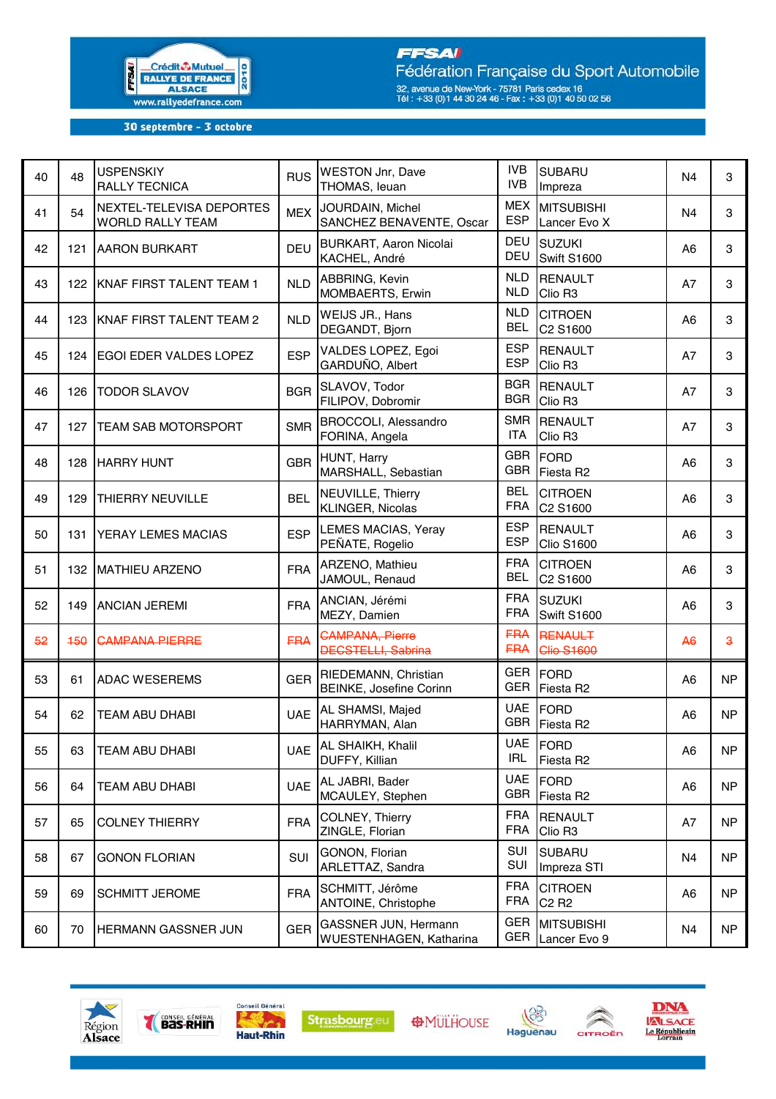

## **FFSAI**

Fédération Française du Sport Automobile 32, avenue de New-York - 75781 Paris cedex 16<br>Tél : +33 (0)1 44 30 24 46 - Fax : +33 (0)1 40 50 02 56

30 septembre - 3 octobre

| 40 | 48  | <b>USPENSKIY</b><br><b>RALLY TECNICA</b>     | <b>RUS</b> | <b>WESTON Jnr, Dave</b><br>THOMAS, leuan               | <b>IVB</b><br><b>IVB</b> | <b>SUBARU</b><br>Impreza                        | N <sub>4</sub> | 3                       |
|----|-----|----------------------------------------------|------------|--------------------------------------------------------|--------------------------|-------------------------------------------------|----------------|-------------------------|
| 41 | 54  | NEXTEL-TELEVISA DEPORTES<br>WORLD RALLY TEAM | <b>MEX</b> | JOURDAIN, Michel<br>SANCHEZ BENAVENTE, Oscar           | <b>MEX</b><br><b>ESP</b> | <b>MITSUBISHI</b><br>Lancer Evo X               | N <sub>4</sub> | 3                       |
| 42 | 121 | <b>AARON BURKART</b>                         | <b>DEU</b> | <b>BURKART, Aaron Nicolai</b><br>KACHEL, André         | DEU<br>DEU               | <b>SUZUKI</b><br>Swift S1600                    | A <sub>6</sub> | 3                       |
| 43 |     | 122 KNAF FIRST TALENT TEAM 1                 | <b>NLD</b> | ABBRING, Kevin<br>MOMBAERTS, Erwin                     | <b>NLD</b><br><b>NLD</b> | <b>RENAULT</b><br>Clio R <sub>3</sub>           | A7             | 3                       |
| 44 | 123 | KNAF FIRST TALENT TEAM 2                     | <b>NLD</b> | WEIJS JR., Hans<br>DEGANDT, Bjorn                      | <b>NLD</b><br><b>BEL</b> | <b>CITROEN</b><br>C2 S1600                      | A <sub>6</sub> | 3                       |
| 45 |     | 124 EGOI EDER VALDES LOPEZ                   | <b>ESP</b> | VALDES LOPEZ, Egoi<br>GARDUÑO, Albert                  | <b>ESP</b><br><b>ESP</b> | <b>RENAULT</b><br>Clio R <sub>3</sub>           | A7             | 3                       |
| 46 | 126 | <b>TODOR SLAVOV</b>                          | <b>BGR</b> | SLAVOV, Todor<br>FILIPOV, Dobromir                     | <b>BGR</b><br><b>BGR</b> | <b>RENAULT</b><br>Clio R <sub>3</sub>           | A7             | 3                       |
| 47 | 127 | <b>TEAM SAB MOTORSPORT</b>                   | <b>SMR</b> | BROCCOLI, Alessandro<br>FORINA, Angela                 | <b>SMR</b><br><b>ITA</b> | <b>RENAULT</b><br>Clio R <sub>3</sub>           | A7             | 3                       |
| 48 | 128 | <b>HARRY HUNT</b>                            | <b>GBR</b> | HUNT, Harry<br>MARSHALL, Sebastian                     | <b>GBR</b><br><b>GBR</b> | <b>FORD</b><br>Fiesta R2                        | A <sub>6</sub> | 3                       |
| 49 | 129 | <b>THIERRY NEUVILLE</b>                      | <b>BEL</b> | NEUVILLE, Thierry<br>KLINGER, Nicolas                  | <b>BEL</b><br><b>FRA</b> | <b>CITROEN</b><br>C2 S1600                      | A <sub>6</sub> | 3                       |
| 50 | 131 | <b>YERAY LEMES MACIAS</b>                    | <b>ESP</b> | <b>LEMES MACIAS, Yeray</b><br>PEÑATE, Rogelio          | <b>ESP</b><br><b>ESP</b> | <b>RENAULT</b><br><b>Clio S1600</b>             | A6             | 3                       |
| 51 |     | 132   MATHIEU ARZENO                         | <b>FRA</b> | ARZENO, Mathieu<br>JAMOUL, Renaud                      | <b>FRA</b><br><b>BEL</b> | <b>CITROEN</b><br>C2 S1600                      | A <sub>6</sub> | 3                       |
| 52 | 149 | <b>ANCIAN JEREMI</b>                         | <b>FRA</b> | ANCIAN, Jérémi<br>MEZY, Damien                         | <b>FRA</b><br><b>FRA</b> | <b>SUZUKI</b><br><b>Swift S1600</b>             | A <sub>6</sub> | 3                       |
| 52 | 150 | <b>CAMPANA PIERRE</b>                        | <b>FRA</b> | <b>CAMPANA, Pierre</b><br><b>DECSTELLI, Sabrina</b>    | <b>FRA</b><br><b>FRA</b> | RENAULT<br><b>Clio S1600</b>                    | A <sub>6</sub> | $\overline{\mathbf{3}}$ |
| 53 | 61  | <b>ADAC WESEREMS</b>                         | <b>GER</b> | RIEDEMANN, Christian<br><b>BEINKE, Josefine Corinn</b> | GER<br><b>GER</b>        | <b>FORD</b><br>Fiesta R2                        | A <sub>6</sub> | <b>NP</b>               |
| 54 | 62  | <b>TEAM ABU DHABI</b>                        | <b>UAE</b> | AL SHAMSI, Majed<br>HARRYMAN, Alan                     | <b>UAE</b><br><b>GBR</b> | <b>FORD</b><br>Fiesta R2                        | A <sub>6</sub> | <b>NP</b>               |
| 55 | 63  | <b>TEAM ABU DHABI</b>                        |            | UAE AL SHAIKH, Khalil<br>DUFFY, Killian                | <b>IRL</b>               | UAE FORD<br>Fiesta R2                           | A <sub>6</sub> | NP                      |
| 56 | 64  | <b>TEAM ABU DHABI</b>                        | <b>UAE</b> | AL JABRI, Bader<br>MCAULEY, Stephen                    | <b>UAE</b><br><b>GBR</b> | <b>FORD</b><br>Fiesta R2                        | A6             | NP                      |
| 57 | 65  | <b>COLNEY THIERRY</b>                        | <b>FRA</b> | <b>COLNEY, Thierry</b><br>ZINGLE, Florian              | <b>FRA</b><br><b>FRA</b> | <b>RENAULT</b><br>Clio R <sub>3</sub>           | A7             | N <sub>P</sub>          |
| 58 | 67  | <b>GONON FLORIAN</b>                         | SUI        | GONON, Florian<br>ARLETTAZ, Sandra                     | SUI<br>SUI               | <b>SUBARU</b><br>Impreza STI                    | N4             | N <sub>P</sub>          |
| 59 | 69  | <b>SCHMITT JEROME</b>                        | <b>FRA</b> | SCHMITT, Jérôme<br>ANTOINE, Christophe                 | <b>FRA</b><br><b>FRA</b> | <b>CITROEN</b><br>C <sub>2</sub> R <sub>2</sub> | A6             | NP                      |
| 60 | 70  | HERMANN GASSNER JUN                          | <b>GER</b> | <b>GASSNER JUN, Hermann</b><br>WUESTENHAGEN, Katharina | GER<br><b>GER</b>        | <b>MITSUBISHI</b><br>Lancer Evo 9               | N4             | N <sub>P</sub>          |







**AMÜLHOUSE** 





 $\hat{\mathbb{A}}$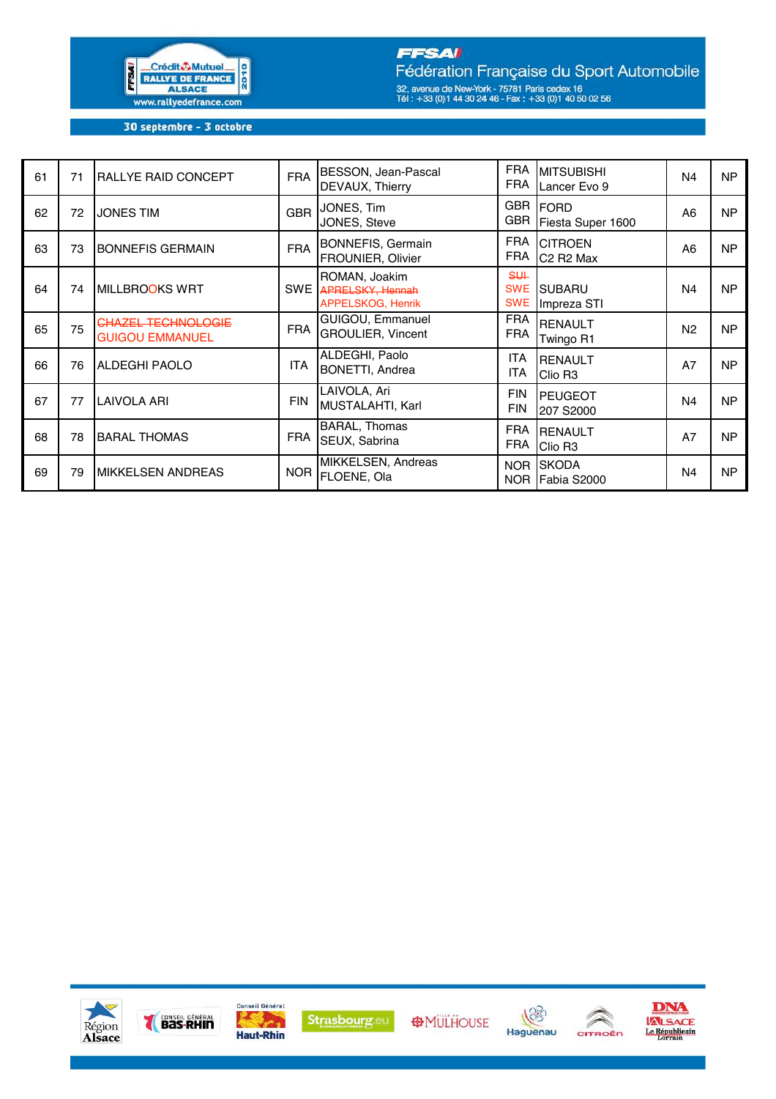

## **FFSAI**

Fédération Française du Sport Automobile 32, avenue de New-York - 75781 Paris cedex 16<br>Tél : +33 (0)1 44 30 24 46 - Fax : +33 (0)1 40 50 02 56

30 septembre - 3 octobre

| 61 | 71 | <b>RALLYE RAID CONCEPT</b>                          | <b>FRA</b> | BESSON, Jean-Pascal<br>DEVAUX, Thierry                        | <b>FRA</b><br><b>FRA</b>         | <b>MITSUBISHI</b><br>Lancer Evo 9                   | N <sub>4</sub> | <b>NP</b> |
|----|----|-----------------------------------------------------|------------|---------------------------------------------------------------|----------------------------------|-----------------------------------------------------|----------------|-----------|
| 62 | 72 | <b>JONES TIM</b>                                    | <b>GBR</b> | JONES, Tim<br>JONES, Steve                                    | <b>GBR</b><br><b>GBR</b>         | <b>FORD</b><br>Fiesta Super 1600                    | A6             | <b>NP</b> |
| 63 | 73 | <b>BONNEFIS GERMAIN</b>                             | <b>FRA</b> | <b>BONNEFIS, Germain</b><br><b>FROUNIER, Olivier</b>          | <b>FRA</b><br><b>FRA</b>         | <b>CITROEN</b><br>C <sub>2</sub> R <sub>2</sub> Max | A6             | <b>NP</b> |
| 64 | 74 | MILLBROOKS WRT                                      | <b>SWE</b> | ROMAN, Joakim<br><b>APRELSKY, Hennah</b><br>APPELSKOG, Henrik | $$+$<br><b>SWE</b><br><b>SWE</b> | <b>SUBARU</b><br>Impreza STI                        | N <sub>4</sub> | <b>NP</b> |
| 65 | 75 | <b>CHAZEL TECHNOLOGIE</b><br><b>GUIGOU EMMANUEL</b> | <b>FRA</b> | <b>GUIGOU, Emmanuel</b><br><b>GROULIER, Vincent</b>           | <b>FRA</b><br><b>FRA</b>         | <b>RENAULT</b><br>Twingo R1                         | N <sub>2</sub> | <b>NP</b> |
| 66 | 76 | <b>ALDEGHI PAOLO</b>                                | <b>ITA</b> | ALDEGHI, Paolo<br><b>BONETTI, Andrea</b>                      | <b>ITA</b><br><b>ITA</b>         | <b>RENAULT</b><br>Clio R <sub>3</sub>               | A7             | <b>NP</b> |
| 67 | 77 | <b>LAIVOLA ARI</b>                                  | <b>FIN</b> | LAIVOLA, Ari<br><b>MUSTALAHTI, Karl</b>                       | <b>FIN</b><br><b>FIN</b>         | <b>PEUGEOT</b><br>207 S2000                         | N <sub>4</sub> | <b>NP</b> |
| 68 | 78 | <b>BARAL THOMAS</b>                                 | <b>FRA</b> | <b>BARAL, Thomas</b><br>SEUX, Sabrina                         | <b>FRA</b><br><b>FRA</b>         | <b>RENAULT</b><br>Clio R <sub>3</sub>               | A7             | <b>NP</b> |
| 69 | 79 | <b>IMIKKELSEN ANDREAS</b>                           | <b>NOR</b> | MIKKELSEN, Andreas<br>FLOENE, Ola                             | NOR                              | NOR SKODA<br>Fabia S2000                            | N <sub>4</sub> | <b>NP</b> |